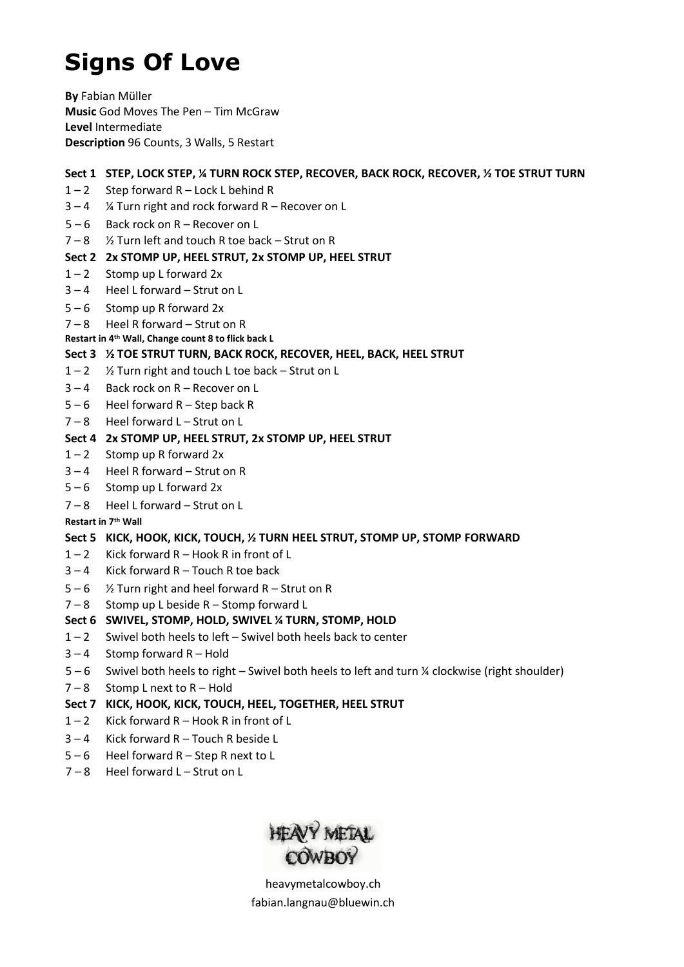# **Signs Of Love**

**By** Fabian Müller **Music** God Moves The Pen – Tim McGraw **Level** Intermediate **Description** 96 Counts, 3 Walls, 5 Restart

## **Sect 1 STEP, LOCK STEP, ¼ TURN ROCK STEP, RECOVER, BACK ROCK, RECOVER, ½ TOE STRUT TURN**

- $1 2$  Step forward R Lock L behind R
- $3 4$  % Turn right and rock forward R Recover on L
- 5 6 Back rock on R Recover on L
- 7 8 ½ Turn left and touch R toe back Strut on R

## **Sect 2 2x STOMP UP, HEEL STRUT, 2x STOMP UP, HEEL STRUT**

- $1 2$  Stomp up L forward 2x
- 3 4 Heel L forward Strut on L
- $5 6$  Stomp up R forward 2x
- 7 8 Heel R forward Strut on R
- **Restart in 4th Wall, Change count 8 to flick back L**

### **Sect 3 ½ TOE STRUT TURN, BACK ROCK, RECOVER, HEEL, BACK, HEEL STRUT**

- 1 2 ½ Turn right and touch L toe back Strut on L
- 3 4 Back rock on R Recover on L
- $5 6$  Heel forward R Step back R
- 7 8 Heel forward L Strut on L

## **Sect 4 2x STOMP UP, HEEL STRUT, 2x STOMP UP, HEEL STRUT**

- $1 2$  Stomp up R forward 2x
- 3 4 Heel R forward Strut on R
- 5 6 Stomp up L forward 2x
- 7 8 Heel L forward Strut on L

#### **Restart in 7th Wall**

## **Sect 5 KICK, HOOK, KICK, TOUCH, ½ TURN HEEL STRUT, STOMP UP, STOMP FORWARD**

- $1 2$  Kick forward R Hook R in front of L
- $3 4$  Kick forward R Touch R toe back
- $5 6$  % Turn right and heel forward R Strut on R
- 7 8 Stomp up L beside R Stomp forward L

## **Sect 6 SWIVEL, STOMP, HOLD, SWIVEL ¼ TURN, STOMP, HOLD**

- $1 2$  Swivel both heels to left Swivel both heels back to center
- $3 4$  Stomp forward R Hold
- 5 6 Swivel both heels to right Swivel both heels to left and turn ¼ clockwise (right shoulder)
- 7 8 Stomp L next to R Hold

## **Sect 7 KICK, HOOK, KICK, TOUCH, HEEL, TOGETHER, HEEL STRUT**

- 1 2 Kick forward R Hook R in front of L
- 3 4 Kick forward R Touch R beside L
- $5 6$  Heel forward R Step R next to L
- 7 8 Heel forward L Strut on L



heavymetalcowboy.ch [fabian.langnau@bluewin.ch](mailto:fabian.langnau@bluewin.ch)